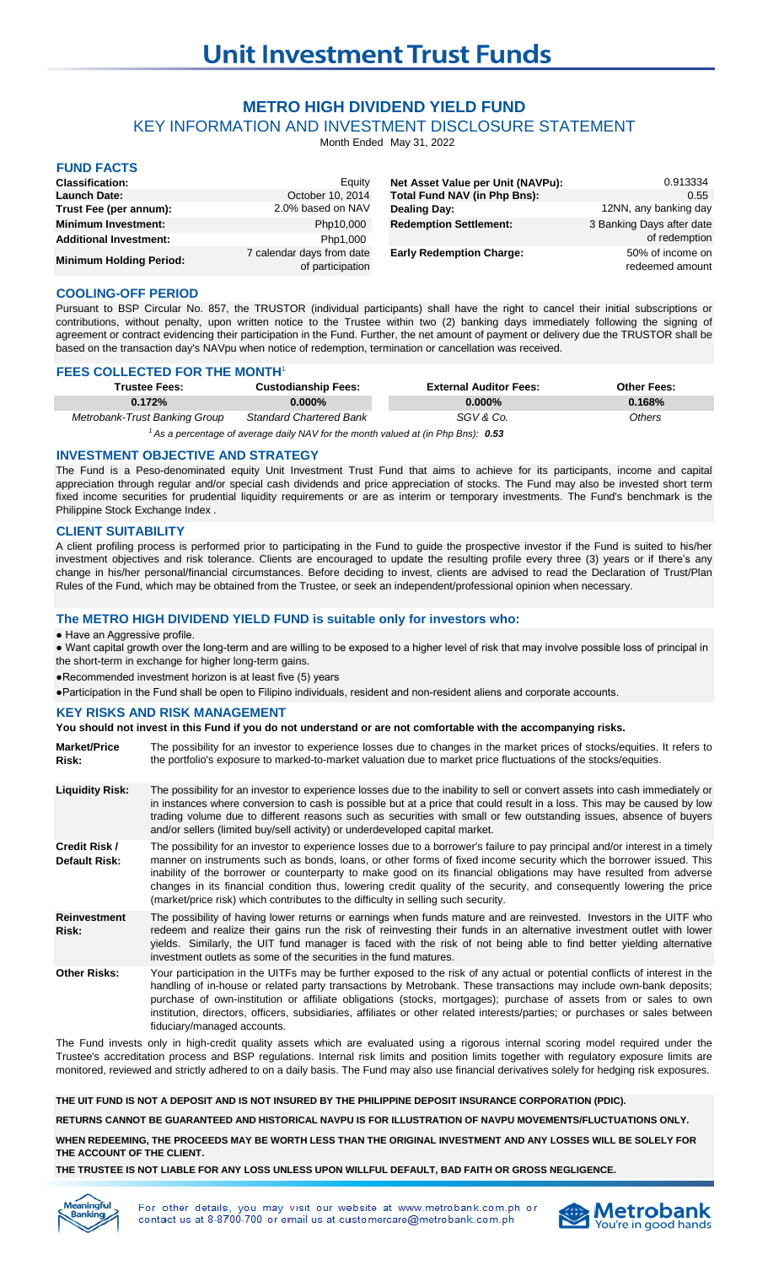# **METRO HIGH DIVIDEND YIELD FUND**

KEY INFORMATION AND INVESTMENT DISCLOSURE STATEMENT

Month Ended May 31, 2022

# **FUND FACTS**

| <b>Classification:</b>         | Eauity                                        | Net Asset Value per Unit (NAVPu): | 0.913334                            |
|--------------------------------|-----------------------------------------------|-----------------------------------|-------------------------------------|
| <b>Launch Date:</b>            | October 10, 2014                              | Total Fund NAV (in Php Bns):      | 0.55                                |
| Trust Fee (per annum):         | 2.0% based on NAV                             | <b>Dealing Day:</b>               | 12NN, any banking day               |
| <b>Minimum Investment:</b>     | Php10,000                                     | <b>Redemption Settlement:</b>     | 3 Banking Days after date           |
| <b>Additional Investment:</b>  | Php1,000                                      |                                   | of redemption                       |
| <b>Minimum Holding Period:</b> | 7 calendar days from date<br>of participation | <b>Early Redemption Charge:</b>   | 50% of income on<br>redeemed amount |

## **COOLING-OFF PERIOD**

Pursuant to BSP Circular No. 857, the TRUSTOR (individual participants) shall have the right to cancel their initial subscriptions or contributions, without penalty, upon written notice to the Trustee within two (2) banking days immediately following the signing of agreement or contract evidencing their participation in the Fund. Further, the net amount of payment or delivery due the TRUSTOR shall be based on the transaction day's NAVpu when notice of redemption, termination or cancellation was received.

## **FEES COLLECTED FOR THE MONTH**<sup>1</sup>

| <b>Trustee Fees:</b>          | <b>Custodianship Fees:</b>     | <b>External Auditor Fees:</b> | <b>Other Fees:</b> |
|-------------------------------|--------------------------------|-------------------------------|--------------------|
| 0.172%                        | $0.000\%$                      | $0.000\%$                     | 0.168%             |
| Metrobank-Trust Banking Group | <b>Standard Chartered Bank</b> | SGV & Co.                     | Others             |
|                               |                                |                               |                    |

<sup>1</sup> As a percentage of average daily NAV for the month valued at (in Php Bns): 0.53

#### **INVESTMENT OBJECTIVE AND STRATEGY**

The Fund is a Peso-denominated equity Unit Investment Trust Fund that aims to achieve for its participants, income and capital appreciation through regular and/or special cash dividends and price appreciation of stocks. The Fund may also be invested short term fixed income securities for prudential liquidity requirements or are as interim or temporary investments. The Fund's benchmark is the Philippine Stock Exchange Index .

#### **CLIENT SUITABILITY**

A client profiling process is performed prior to participating in the Fund to guide the prospective investor if the Fund is suited to his/her investment objectives and risk tolerance. Clients are encouraged to update the resulting profile every three (3) years or if there's any change in his/her personal/financial circumstances. Before deciding to invest, clients are advised to read the Declaration of Trust/Plan Rules of the Fund, which may be obtained from the Trustee, or seek an independent/professional opinion when necessary.

#### **The METRO HIGH DIVIDEND YIELD FUND is suitable only for investors who:**

● Have an Aggressive profile.

- Want capital growth over the long-term and are willing to be exposed to a higher level of risk that may involve possible loss of principal in the short-term in exchange for higher long-term gains.
- ●Recommended investment horizon is at least five (5) years

●Participation in the Fund shall be open to Filipino individuals, resident and non-resident aliens and corporate accounts.

#### **KEY RISKS AND RISK MANAGEMENT**

| You should not invest in this Fund if you do not understand or are not comfortable with the accompanying risks. |                                                                                                                                                                                                                                                                                                                                                                                                                                                                                                                                                                                          |  |  |  |
|-----------------------------------------------------------------------------------------------------------------|------------------------------------------------------------------------------------------------------------------------------------------------------------------------------------------------------------------------------------------------------------------------------------------------------------------------------------------------------------------------------------------------------------------------------------------------------------------------------------------------------------------------------------------------------------------------------------------|--|--|--|
| <b>Market/Price</b><br>Risk:                                                                                    | The possibility for an investor to experience losses due to changes in the market prices of stocks/equities. It refers to<br>the portfolio's exposure to marked-to-market valuation due to market price fluctuations of the stocks/equities.                                                                                                                                                                                                                                                                                                                                             |  |  |  |
| <b>Liquidity Risk:</b>                                                                                          | The possibility for an investor to experience losses due to the inability to sell or convert assets into cash immediately or<br>in instances where conversion to cash is possible but at a price that could result in a loss. This may be caused by low<br>trading volume due to different reasons such as securities with small or few outstanding issues, absence of buyers<br>and/or sellers (limited buy/sell activity) or underdeveloped capital market.                                                                                                                            |  |  |  |
| Credit Risk /<br><b>Default Risk:</b>                                                                           | The possibility for an investor to experience losses due to a borrower's failure to pay principal and/or interest in a timely<br>manner on instruments such as bonds, loans, or other forms of fixed income security which the borrower issued. This<br>inability of the borrower or counterparty to make good on its financial obligations may have resulted from adverse<br>changes in its financial condition thus, lowering credit quality of the security, and consequently lowering the price<br>(market/price risk) which contributes to the difficulty in selling such security. |  |  |  |
| <b>Reinvestment</b><br>Risk:                                                                                    | The possibility of having lower returns or earnings when funds mature and are reinvested. Investors in the UITF who<br>redeem and realize their gains run the risk of reinvesting their funds in an alternative investment outlet with lower<br>yields. Similarly, the UIT fund manager is faced with the risk of not being able to find better yielding alternative<br>investment outlets as some of the securities in the fund matures.                                                                                                                                                |  |  |  |
| <b>Other Risks:</b>                                                                                             | Your participation in the UITFs may be further exposed to the risk of any actual or potential conflicts of interest in the<br>handling of in-house or related party transactions by Metrobank. These transactions may include own-bank deposits;<br>purchase of own-institution or affiliate obligations (stocks, mortgages); purchase of assets from or sales to own<br>institution, directors, officers, subsidiaries, affiliates or other related interests/parties; or purchases or sales between<br>fiduciary/managed accounts.                                                     |  |  |  |

The Fund invests only in high-credit quality assets which are evaluated using a rigorous internal scoring model required under the Trustee's accreditation process and BSP regulations. Internal risk limits and position limits together with regulatory exposure limits are monitored, reviewed and strictly adhered to on a daily basis. The Fund may also use financial derivatives solely for hedging risk exposures.

**THE UIT FUND IS NOT A DEPOSIT AND IS NOT INSURED BY THE PHILIPPINE DEPOSIT INSURANCE CORPORATION (PDIC).**

**RETURNS CANNOT BE GUARANTEED AND HISTORICAL NAVPU IS FOR ILLUSTRATION OF NAVPU MOVEMENTS/FLUCTUATIONS ONLY.**

**WHEN REDEEMING, THE PROCEEDS MAY BE WORTH LESS THAN THE ORIGINAL INVESTMENT AND ANY LOSSES WILL BE SOLELY FOR THE ACCOUNT OF THE CLIENT.**

#### **THE TRUSTEE IS NOT LIABLE FOR ANY LOSS UNLESS UPON WILLFUL DEFAULT, BAD FAITH OR GROSS NEGLIGENCE.**



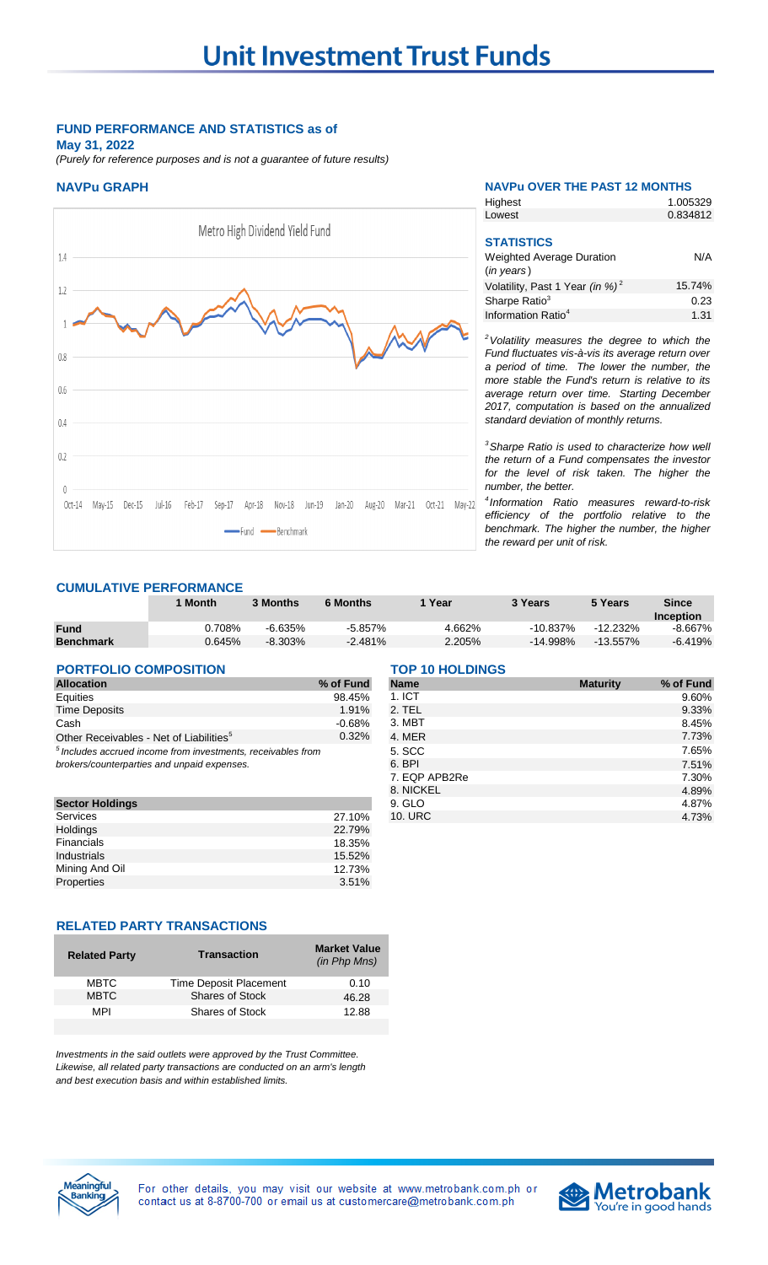## **FUND PERFORMANCE AND STATISTICS as of May 31, 2022**

*(Purely for reference purposes and is not a guarantee of future results)*



| <b>NAVPu GRAPH</b>             | <b>NAVPU OVER THE PAST 12 MONTHS</b> |          |  |
|--------------------------------|--------------------------------------|----------|--|
|                                | Highest                              | 1.005329 |  |
|                                | Lowest                               | 0.834812 |  |
| Metro High Dividend Yield Fund |                                      |          |  |
|                                | <b>STATISTICS</b>                    |          |  |
| 1.4                            | <b>Weighted Average Duration</b>     | N/A      |  |

| (in years)                                  |        |
|---------------------------------------------|--------|
| Volatility, Past 1 Year (in %) <sup>2</sup> | 15.74% |
| Sharpe Ratio <sup>3</sup>                   | 0.23   |
| Information Ratio <sup>4</sup>              | 1.31   |

*<sup>2</sup>Volatility measures the degree to which the Fund fluctuates vis-à-vis its average return over a period of time. The lower the number, the more stable the Fund's return is relative to its average return over time. Starting December 2017, computation is based on the annualized standard deviation of monthly returns.* 

*<sup>3</sup>Sharpe Ratio is used to characterize how well the return of a Fund compensates the investor for the level of risk taken. The higher the number, the better.*

*4 Information Ratio measures reward-to-risk efficiency of the portfolio relative to the benchmark. The higher the number, the higher the reward per unit of risk.*

# **CUMULATIVE PERFORMANCE**

|                  | <b>Month</b> | 3 Months   | <b>6 Months</b> | Year   | 3 Years     | 5 Years     | <b>Since</b> |
|------------------|--------------|------------|-----------------|--------|-------------|-------------|--------------|
|                  |              |            |                 |        |             |             | Inception    |
| <b>Fund</b>      | $0.708\%$    | $-6.635\%$ | $-5.857%$       | 4.662% | $-10.837\%$ | $-12.232\%$ | -8.667%      |
| <b>Benchmark</b> | 0.645%       | $-8.303%$  | $-2.481%$       | 2.205% | -14.998%    | -13.557%    | -6.419%      |

#### **PORTFOLIO COMPOSITION TOP 10 HOLDINGS**

| <b>Allocation</b>                                              | % of Fund |
|----------------------------------------------------------------|-----------|
| Equities                                                       | 98.45%    |
| <b>Time Deposits</b>                                           | 1.91%     |
| Cash                                                           | $-0.68%$  |
| Other Receivables - Net of Liabilities <sup>5</sup>            | 0.32%     |
| $5$ Includes accrued income from investments, receivables from |           |

| <b>Sector Holdings</b> |        |
|------------------------|--------|
| Services               | 27.10% |
| <b>Holdings</b>        | 22.79% |
| Financials             | 18.35% |
| Industrials            | 15.52% |
| Mining And Oil         | 12.73% |
| Properties             | 3.51%  |

#### **RELATED PARTY TRANSACTIONS**

| <b>Related Party</b> | <b>Transaction</b>     | <b>Market Value</b><br>(in Php Mns) |
|----------------------|------------------------|-------------------------------------|
| <b>MBTC</b>          | Time Deposit Placement | 0.10                                |
| <b>MBTC</b>          | <b>Shares of Stock</b> | 46.28                               |
| MPI                  | <b>Shares of Stock</b> | 12.88                               |
|                      |                        |                                     |

*Investments in the said outlets were approved by the Trust Committee. Likewise, all related party transactions are conducted on an arm's length and best execution basis and within established limits.*

| <b>Allocation</b>                                               | % of Fund | <b>Name</b>   | <b>Maturity</b> | % of Fund |
|-----------------------------------------------------------------|-----------|---------------|-----------------|-----------|
| Equities                                                        | 98.45%    | 1.1CT         |                 | 9.60%     |
| <b>Time Deposits</b>                                            | 1.91%     | 2. TEL        |                 | 9.33%     |
| Cash                                                            | $-0.68%$  | 3. MBT        |                 | 8.45%     |
| Other Receivables - Net of Liabilities <sup>5</sup>             | 0.32%     | 4. MER        |                 | 7.73%     |
| $^5$ Includes accrued income from investments, receivables from |           | 5. SCC        |                 | 7.65%     |
| brokers/counterparties and unpaid expenses.                     |           | 6. BPI        |                 | 7.51%     |
|                                                                 |           | 7. EQP APB2Re |                 | 7.30%     |
|                                                                 |           | 8. NICKEL     |                 | 4.89%     |
| <b>Sector Holdings</b>                                          |           | 9. GLO        |                 | 4.87%     |
| Services                                                        | 27.10%    | 10. URC       |                 | 4.73%     |
|                                                                 |           |               |                 |           |